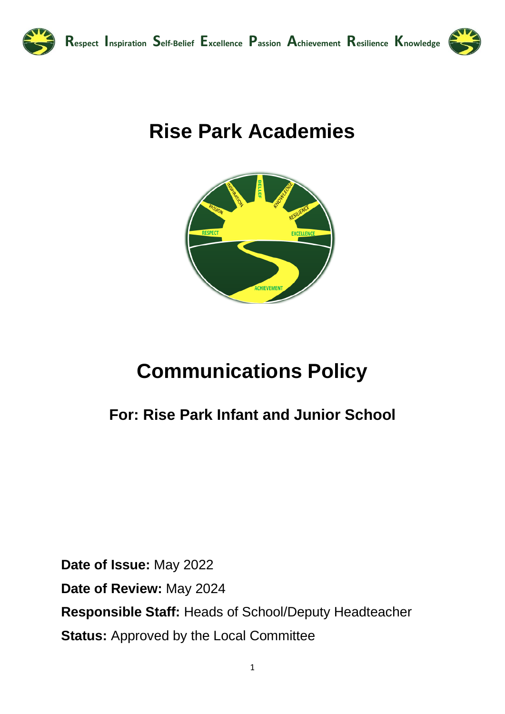

# **Rise Park Academies**



# **Communications Policy**

# **For: Rise Park Infant and Junior School**

**Date of Issue:** May 2022 **Date of Review:** May 2024 **Responsible Staff:** Heads of School/Deputy Headteacher **Status:** Approved by the Local Committee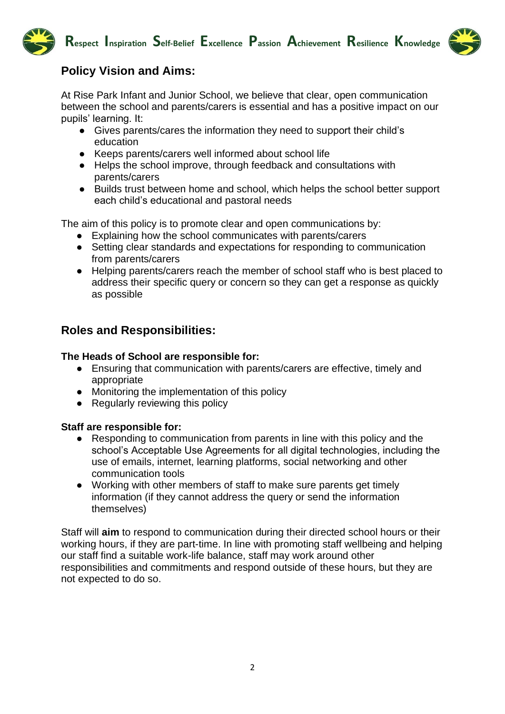



# **Policy Vision and Aims:**

At Rise Park Infant and Junior School, we believe that clear, open communication between the school and parents/carers is essential and has a positive impact on our pupils' learning. It:

- Gives parents/cares the information they need to support their child's education
- Keeps parents/carers well informed about school life
- Helps the school improve, through feedback and consultations with parents/carers
- Builds trust between home and school, which helps the school better support each child's educational and pastoral needs

The aim of this policy is to promote clear and open communications by:

- Explaining how the school communicates with parents/carers
- Setting clear standards and expectations for responding to communication from parents/carers
- Helping parents/carers reach the member of school staff who is best placed to address their specific query or concern so they can get a response as quickly as possible

# **Roles and Responsibilities:**

#### **The Heads of School are responsible for:**

- Ensuring that communication with parents/carers are effective, timely and appropriate
- Monitoring the implementation of this policy
- Regularly reviewing this policy

#### **Staff are responsible for:**

- Responding to communication from parents in line with this policy and the school's Acceptable Use Agreements for all digital technologies, including the use of emails, internet, learning platforms, social networking and other communication tools
- Working with other members of staff to make sure parents get timely information (if they cannot address the query or send the information themselves)

Staff will **aim** to respond to communication during their directed school hours or their working hours, if they are part-time. In line with promoting staff wellbeing and helping our staff find a suitable work-life balance, staff may work around other responsibilities and commitments and respond outside of these hours, but they are not expected to do so.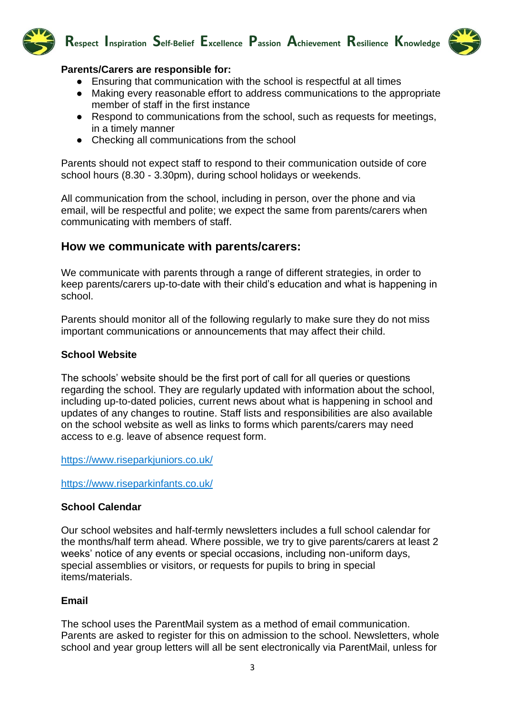



# **Parents/Carers are responsible for:**

- Ensuring that communication with the school is respectful at all times
- Making every reasonable effort to address communications to the appropriate member of staff in the first instance
- Respond to communications from the school, such as requests for meetings, in a timely manner
- Checking all communications from the school

Parents should not expect staff to respond to their communication outside of core school hours (8.30 - 3.30pm), during school holidays or weekends.

All communication from the school, including in person, over the phone and via email, will be respectful and polite; we expect the same from parents/carers when communicating with members of staff.

# **How we communicate with parents/carers:**

We communicate with parents through a range of different strategies, in order to keep parents/carers up-to-date with their child's education and what is happening in school.

Parents should monitor all of the following regularly to make sure they do not miss important communications or announcements that may affect their child.

#### **School Website**

The schools' website should be the first port of call for all queries or questions regarding the school. They are regularly updated with information about the school, including up-to-dated policies, current news about what is happening in school and updates of any changes to routine. Staff lists and responsibilities are also available on the school website as well as links to forms which parents/carers may need access to e.g. leave of absence request form.

<https://www.riseparkjuniors.co.uk/>

<https://www.riseparkinfants.co.uk/>

#### **School Calendar**

Our school websites and half-termly newsletters includes a full school calendar for the months/half term ahead. Where possible, we try to give parents/carers at least 2 weeks' notice of any events or special occasions, including non-uniform days, special assemblies or visitors, or requests for pupils to bring in special items/materials.

#### **Email**

The school uses the ParentMail system as a method of email communication. Parents are asked to register for this on admission to the school. Newsletters, whole school and year group letters will all be sent electronically via ParentMail, unless for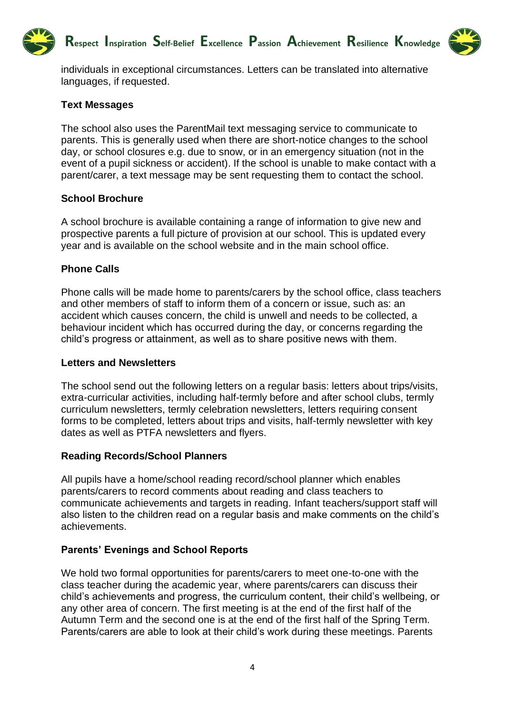



individuals in exceptional circumstances. Letters can be translated into alternative languages, if requested.

#### **Text Messages**

The school also uses the ParentMail text messaging service to communicate to parents. This is generally used when there are short-notice changes to the school day, or school closures e.g. due to snow, or in an emergency situation (not in the event of a pupil sickness or accident). If the school is unable to make contact with a parent/carer, a text message may be sent requesting them to contact the school.

#### **School Brochure**

A school brochure is available containing a range of information to give new and prospective parents a full picture of provision at our school. This is updated every year and is available on the school website and in the main school office.

#### **Phone Calls**

Phone calls will be made home to parents/carers by the school office, class teachers and other members of staff to inform them of a concern or issue, such as: an accident which causes concern, the child is unwell and needs to be collected, a behaviour incident which has occurred during the day, or concerns regarding the child's progress or attainment, as well as to share positive news with them.

#### **Letters and Newsletters**

The school send out the following letters on a regular basis: letters about trips/visits, extra-curricular activities, including half-termly before and after school clubs, termly curriculum newsletters, termly celebration newsletters, letters requiring consent forms to be completed, letters about trips and visits, half-termly newsletter with key dates as well as PTFA newsletters and flyers.

#### **Reading Records/School Planners**

All pupils have a home/school reading record/school planner which enables parents/carers to record comments about reading and class teachers to communicate achievements and targets in reading. Infant teachers/support staff will also listen to the children read on a regular basis and make comments on the child's achievements.

#### **Parents' Evenings and School Reports**

We hold two formal opportunities for parents/carers to meet one-to-one with the class teacher during the academic year, where parents/carers can discuss their child's achievements and progress, the curriculum content, their child's wellbeing, or any other area of concern. The first meeting is at the end of the first half of the Autumn Term and the second one is at the end of the first half of the Spring Term. Parents/carers are able to look at their child's work during these meetings. Parents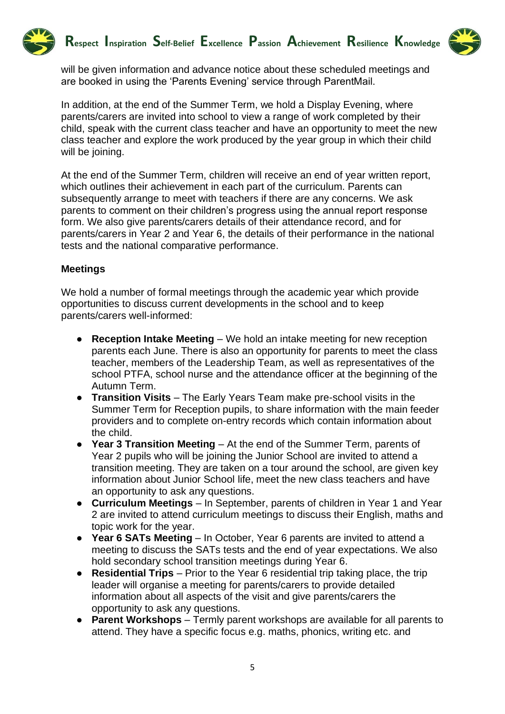



will be given information and advance notice about these scheduled meetings and are booked in using the 'Parents Evening' service through ParentMail.

In addition, at the end of the Summer Term, we hold a Display Evening, where parents/carers are invited into school to view a range of work completed by their child, speak with the current class teacher and have an opportunity to meet the new class teacher and explore the work produced by the year group in which their child will be joining.

At the end of the Summer Term, children will receive an end of year written report, which outlines their achievement in each part of the curriculum. Parents can subsequently arrange to meet with teachers if there are any concerns. We ask parents to comment on their children's progress using the annual report response form. We also give parents/carers details of their attendance record, and for parents/carers in Year 2 and Year 6, the details of their performance in the national tests and the national comparative performance.

# **Meetings**

We hold a number of formal meetings through the academic year which provide opportunities to discuss current developments in the school and to keep parents/carers well-informed:

- **Reception Intake Meeting** We hold an intake meeting for new reception parents each June. There is also an opportunity for parents to meet the class teacher, members of the Leadership Team, as well as representatives of the school PTFA, school nurse and the attendance officer at the beginning of the Autumn Term.
- **Transition Visits** The Early Years Team make pre-school visits in the Summer Term for Reception pupils, to share information with the main feeder providers and to complete on-entry records which contain information about the child.
- **Year 3 Transition Meeting** At the end of the Summer Term, parents of Year 2 pupils who will be joining the Junior School are invited to attend a transition meeting. They are taken on a tour around the school, are given key information about Junior School life, meet the new class teachers and have an opportunity to ask any questions.
- **Curriculum Meetings** In September, parents of children in Year 1 and Year 2 are invited to attend curriculum meetings to discuss their English, maths and topic work for the year.
- **Year 6 SATs Meeting** In October, Year 6 parents are invited to attend a meeting to discuss the SATs tests and the end of year expectations. We also hold secondary school transition meetings during Year 6.
- **Residential Trips** Prior to the Year 6 residential trip taking place, the trip leader will organise a meeting for parents/carers to provide detailed information about all aspects of the visit and give parents/carers the opportunity to ask any questions.
- **Parent Workshops** Termly parent workshops are available for all parents to attend. They have a specific focus e.g. maths, phonics, writing etc. and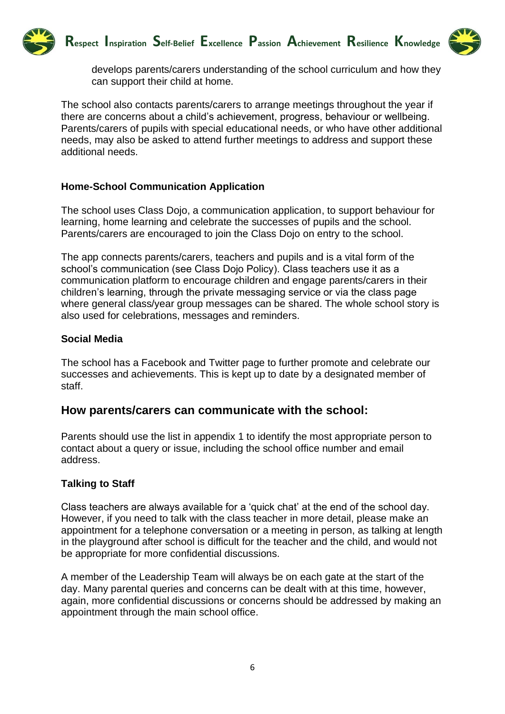



develops parents/carers understanding of the school curriculum and how they can support their child at home.

The school also contacts parents/carers to arrange meetings throughout the year if there are concerns about a child's achievement, progress, behaviour or wellbeing. Parents/carers of pupils with special educational needs, or who have other additional needs, may also be asked to attend further meetings to address and support these additional needs.

# **Home-School Communication Application**

The school uses Class Dojo, a communication application, to support behaviour for learning, home learning and celebrate the successes of pupils and the school. Parents/carers are encouraged to join the Class Dojo on entry to the school.

The app connects parents/carers, teachers and pupils and is a vital form of the school's communication (see Class Dojo Policy). Class teachers use it as a communication platform to encourage children and engage parents/carers in their children's learning, through the private messaging service or via the class page where general class/year group messages can be shared. The whole school story is also used for celebrations, messages and reminders.

#### **Social Media**

The school has a Facebook and Twitter page to further promote and celebrate our successes and achievements. This is kept up to date by a designated member of staff.

# **How parents/carers can communicate with the school:**

Parents should use the list in appendix 1 to identify the most appropriate person to contact about a query or issue, including the school office number and email address.

#### **Talking to Staff**

Class teachers are always available for a 'quick chat' at the end of the school day. However, if you need to talk with the class teacher in more detail, please make an appointment for a telephone conversation or a meeting in person, as talking at length in the playground after school is difficult for the teacher and the child, and would not be appropriate for more confidential discussions.

A member of the Leadership Team will always be on each gate at the start of the day. Many parental queries and concerns can be dealt with at this time, however, again, more confidential discussions or concerns should be addressed by making an appointment through the main school office.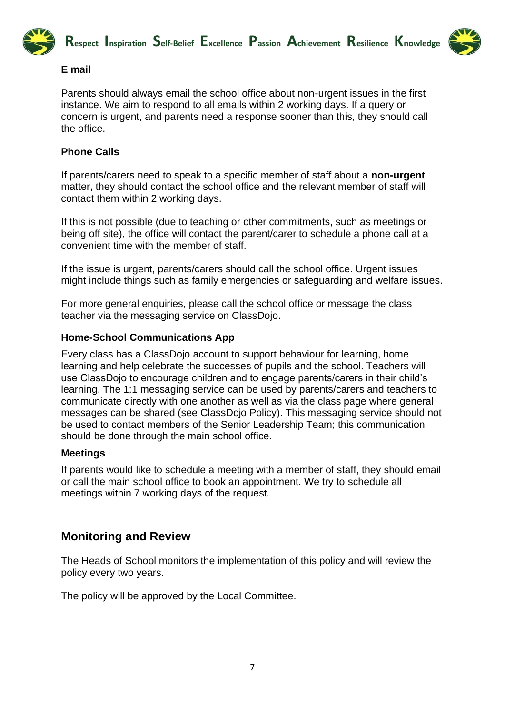



# **E mail**

Parents should always email the school office about non-urgent issues in the first instance. We aim to respond to all emails within 2 working days. If a query or concern is urgent, and parents need a response sooner than this, they should call the office.

# **Phone Calls**

If parents/carers need to speak to a specific member of staff about a **non-urgent**  matter, they should contact the school office and the relevant member of staff will contact them within 2 working days.

If this is not possible (due to teaching or other commitments, such as meetings or being off site), the office will contact the parent/carer to schedule a phone call at a convenient time with the member of staff.

If the issue is urgent, parents/carers should call the school office. Urgent issues might include things such as family emergencies or safeguarding and welfare issues.

For more general enquiries, please call the school office or message the class teacher via the messaging service on ClassDojo.

# **Home-School Communications App**

Every class has a ClassDojo account to support behaviour for learning, home learning and help celebrate the successes of pupils and the school. Teachers will use ClassDojo to encourage children and to engage parents/carers in their child's learning. The 1:1 messaging service can be used by parents/carers and teachers to communicate directly with one another as well as via the class page where general messages can be shared (see ClassDojo Policy). This messaging service should not be used to contact members of the Senior Leadership Team; this communication should be done through the main school office.

# **Meetings**

If parents would like to schedule a meeting with a member of staff, they should email or call the main school office to book an appointment. We try to schedule all meetings within 7 working days of the request.

# **Monitoring and Review**

The Heads of School monitors the implementation of this policy and will review the policy every two years.

The policy will be approved by the Local Committee.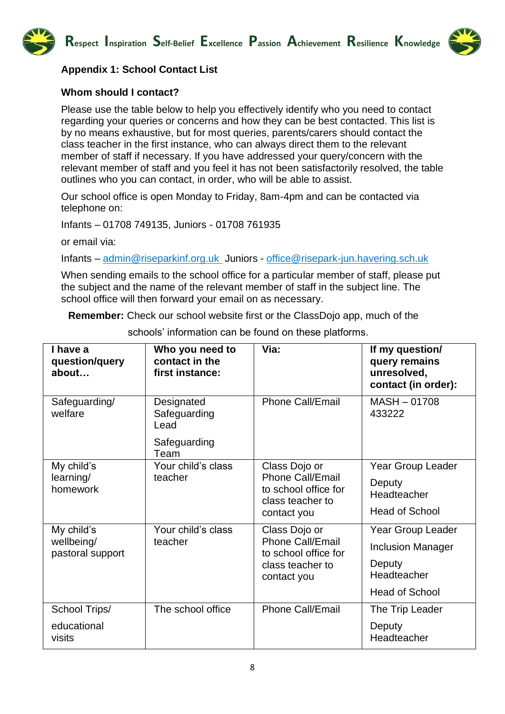**Respect Inspiration Self-Belief Excellence Passion Achievement Resilience Knowledge**



# **Appendix 1: School Contact List**

# **Whom should I contact?**

Please use the table below to help you effectively identify who you need to contact regarding your queries or concerns and how they can be best contacted. This list is by no means exhaustive, but for most queries, parents/carers should contact the class teacher in the first instance, who can always direct them to the relevant member of staff if necessary. If you have addressed your query/concern with the relevant member of staff and you feel it has not been satisfactorily resolved, the table outlines who you can contact, in order, who will be able to assist.

Our school office is open Monday to Friday, 8am-4pm and can be contacted via telephone on:

Infants – 01708 749135, Juniors - 01708 761935

or email via:

Infants – [admin@riseparkinf.org.uk](mailto:admin@riseparkinf.org.uk) Juniors - [office@risepark-jun.havering.sch.uk](mailto:office@risepark-jun.havering.sch.uk)

When sending emails to the school office for a particular member of staff, please put the subject and the name of the relevant member of staff in the subject line. The school office will then forward your email on as necessary.

**Remember:** Check our school website first or the ClassDojo app, much of the

| I have a<br>question/query<br>about          | Who you need to<br>contact in the<br>first instance: | Via:                                                                                                | If my question/<br>query remains<br>unresolved,<br>contact (in order): |
|----------------------------------------------|------------------------------------------------------|-----------------------------------------------------------------------------------------------------|------------------------------------------------------------------------|
| Safeguarding/<br>welfare                     | Designated<br>Safeguarding<br>Lead                   | <b>Phone Call/Email</b>                                                                             | MASH-01708<br>433222                                                   |
|                                              | Safeguarding<br>Team                                 |                                                                                                     |                                                                        |
| My child's<br>learning/<br>homework          | Your child's class<br>teacher                        | Class Dojo or<br><b>Phone Call/Email</b><br>to school office for<br>class teacher to<br>contact you | Year Group Leader                                                      |
|                                              |                                                      |                                                                                                     | Deputy<br>Headteacher                                                  |
|                                              |                                                      |                                                                                                     | <b>Head of School</b>                                                  |
| My child's<br>wellbeing/<br>pastoral support | Your child's class<br>teacher                        | Class Dojo or<br><b>Phone Call/Email</b><br>to school office for<br>class teacher to<br>contact you | Year Group Leader                                                      |
|                                              |                                                      |                                                                                                     | <b>Inclusion Manager</b>                                               |
|                                              |                                                      |                                                                                                     | Deputy<br>Headteacher                                                  |
|                                              |                                                      |                                                                                                     | <b>Head of School</b>                                                  |
| School Trips/                                | The school office                                    | <b>Phone Call/Email</b>                                                                             | The Trip Leader                                                        |
| educational<br>visits                        |                                                      |                                                                                                     | Deputy<br>Headteacher                                                  |

schools' information can be found on these platforms.